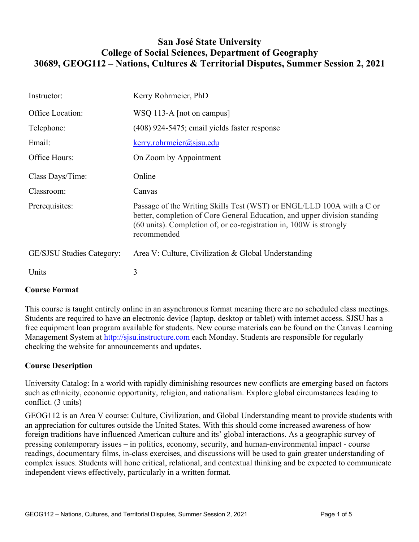# **San José State University College of Social Sciences, Department of Geography 30689, GEOG112 – Nations, Cultures & Territorial Disputes, Summer Session 2, 2021**

| Instructor:                      | Kerry Rohrmeier, PhD                                                                                                                                                                                                                    |
|----------------------------------|-----------------------------------------------------------------------------------------------------------------------------------------------------------------------------------------------------------------------------------------|
| Office Location:                 | WSQ 113-A [not on campus]                                                                                                                                                                                                               |
| Telephone:                       | (408) 924-5475; email yields faster response                                                                                                                                                                                            |
| Email:                           | $k$ erry.rohrmeier@sjsu.edu                                                                                                                                                                                                             |
| Office Hours:                    | On Zoom by Appointment                                                                                                                                                                                                                  |
| Class Days/Time:                 | Online                                                                                                                                                                                                                                  |
| Classroom:                       | Canvas                                                                                                                                                                                                                                  |
| Prerequisites:                   | Passage of the Writing Skills Test (WST) or ENGL/LLD 100A with a C or<br>better, completion of Core General Education, and upper division standing<br>(60 units). Completion of, or co-registration in, 100W is strongly<br>recommended |
| <b>GE/SJSU Studies Category:</b> | Area V: Culture, Civilization & Global Understanding                                                                                                                                                                                    |
| Units                            | 3                                                                                                                                                                                                                                       |

# **Course Format**

This course is taught entirely online in an asynchronous format meaning there are no scheduled class meetings. Students are required to have an electronic device (laptop, desktop or tablet) with internet access. SJSU has a free equipment loan program available for students. New course materials can be found on the Canvas Learning Management System at http://sjsu.instructure.com each Monday. Students are responsible for regularly checking the website for announcements and updates.

## **Course Description**

University Catalog: In a world with rapidly diminishing resources new conflicts are emerging based on factors such as ethnicity, economic opportunity, religion, and nationalism. Explore global circumstances leading to conflict. (3 units)

GEOG112 is an Area V course: Culture, Civilization, and Global Understanding meant to provide students with an appreciation for cultures outside the United States. With this should come increased awareness of how foreign traditions have influenced American culture and its' global interactions. As a geographic survey of pressing contemporary issues – in politics, economy, security, and human-environmental impact - course readings, documentary films, in-class exercises, and discussions will be used to gain greater understanding of complex issues. Students will hone critical, relational, and contextual thinking and be expected to communicate independent views effectively, particularly in a written format.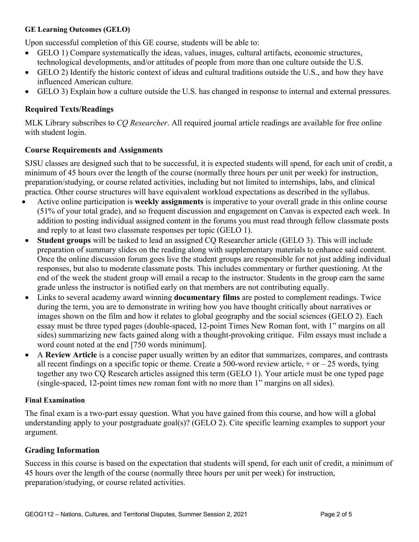#### **GE Learning Outcomes (GELO)**

Upon successful completion of this GE course, students will be able to:

- GELO 1) Compare systematically the ideas, values, images, cultural artifacts, economic structures, technological developments, and/or attitudes of people from more than one culture outside the U.S.
- GELO 2) Identify the historic context of ideas and cultural traditions outside the U.S., and how they have influenced American culture.
- GELO 3) Explain how a culture outside the U.S. has changed in response to internal and external pressures.

# **Required Texts/Readings**

MLK Library subscribes to *CQ Researcher*. All required journal article readings are available for free online with student login.

## **Course Requirements and Assignments**

SJSU classes are designed such that to be successful, it is expected students will spend, for each unit of credit, a minimum of 45 hours over the length of the course (normally three hours per unit per week) for instruction, preparation/studying, or course related activities, including but not limited to internships, labs, and clinical practica. Other course structures will have equivalent workload expectations as described in the syllabus.

- Active online participation is **weekly assignments** is imperative to your overall grade in this online course (51% of your total grade), and so frequent discussion and engagement on Canvas is expected each week. In addition to posting individual assigned content in the forums you must read through fellow classmate posts and reply to at least two classmate responses per topic (GELO 1).
- **Student groups** will be tasked to lead an assigned CQ Researcher article (GELO 3). This will include preparation of summary slides on the reading along with supplementary materials to enhance said content. Once the online discussion forum goes live the student groups are responsible for not just adding individual responses, but also to moderate classmate posts. This includes commentary or further questioning. At the end of the week the student group will email a recap to the instructor. Students in the group earn the same grade unless the instructor is notified early on that members are not contributing equally.
- Links to several academy award winning **documentary films** are posted to complement readings. Twice during the term, you are to demonstrate in writing how you have thought critically about narratives or images shown on the film and how it relates to global geography and the social sciences (GELO 2). Each essay must be three typed pages (double-spaced, 12-point Times New Roman font, with 1" margins on all sides) summarizing new facts gained along with a thought-provoking critique. Film essays must include a word count noted at the end [750 words minimum].
- A **Review Article** is a concise paper usually written by an editor that summarizes, compares, and contrasts all recent findings on a specific topic or theme. Create a 500-word review article,  $+$  or  $-$  25 words, tying together any two CQ Research articles assigned this term (GELO 1). Your article must be one typed page (single-spaced, 12-point times new roman font with no more than 1" margins on all sides).

## **Final Examination**

The final exam is a two-part essay question. What you have gained from this course, and how will a global understanding apply to your postgraduate goal(s)? (GELO 2). Cite specific learning examples to support your argument.

## **Grading Information**

Success in this course is based on the expectation that students will spend, for each unit of credit, a minimum of 45 hours over the length of the course (normally three hours per unit per week) for instruction, preparation/studying, or course related activities.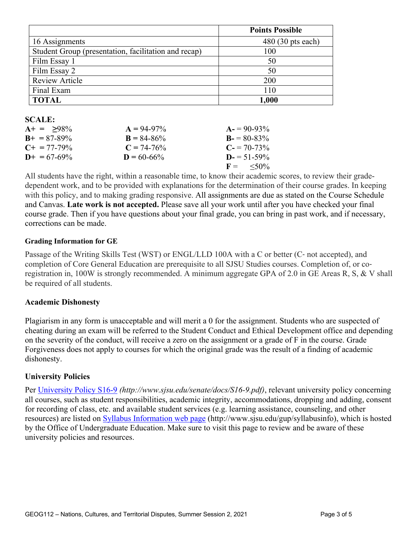|                                                      | <b>Points Possible</b> |
|------------------------------------------------------|------------------------|
| 16 Assignments                                       | $480(30)$ pts each)    |
| Student Group (presentation, facilitation and recap) | 100                    |
| Film Essay 1                                         | 50                     |
| Film Essay 2                                         | 50                     |
| <b>Review Article</b>                                | 200                    |
| Final Exam                                           | 110                    |
| <b>TOTAL</b>                                         | $1,\!000$              |

#### **SCALE:**

| $A+ = 98\%$           | $A = 94-97\%$   | $A = 90-93\%$        |
|-----------------------|-----------------|----------------------|
| $B_{+} = 87 - 89\%$   | $B = 84 - 86\%$ | $B = 80-83\%$        |
| $C_{\pm} = 77 - 79\%$ | $C = 74-76\%$   | $C = 70-73\%$        |
| $D_{+} = 67 - 69\%$   | $D = 60 - 66\%$ | $D = 51 - 59\%$      |
|                       |                 | $F = \frac{50\%}{6}$ |

All students have the right, within a reasonable time, to know their academic scores, to review their gradedependent work, and to be provided with explanations for the determination of their course grades. In keeping with this policy, and to making grading responsive. All assignments are due as stated on the Course Schedule and Canvas. **Late work is not accepted.** Please save all your work until after you have checked your final course grade. Then if you have questions about your final grade, you can bring in past work, and if necessary, corrections can be made.

#### **Grading Information for GE**

Passage of the Writing Skills Test (WST) or ENGL/LLD 100A with a C or better (C‐ not accepted), and completion of Core General Education are prerequisite to all SJSU Studies courses. Completion of, or coregistration in, 100W is strongly recommended. A minimum aggregate GPA of 2.0 in GE Areas R, S, & V shall be required of all students.

#### **Academic Dishonesty**

Plagiarism in any form is unacceptable and will merit a 0 for the assignment. Students who are suspected of cheating during an exam will be referred to the Student Conduct and Ethical Development office and depending on the severity of the conduct, will receive a zero on the assignment or a grade of F in the course. Grade Forgiveness does not apply to courses for which the original grade was the result of a finding of academic dishonesty.

#### **University Policies**

Per University Policy S16-9 *(http://www.sjsu.edu/senate/docs/S16-9.pdf)*, relevant university policy concerning all courses, such as student responsibilities, academic integrity, accommodations, dropping and adding, consent for recording of class, etc. and available student services (e.g. learning assistance, counseling, and other resources) are listed on Syllabus Information web page (http://www.sjsu.edu/gup/syllabusinfo), which is hosted by the Office of Undergraduate Education. Make sure to visit this page to review and be aware of these university policies and resources.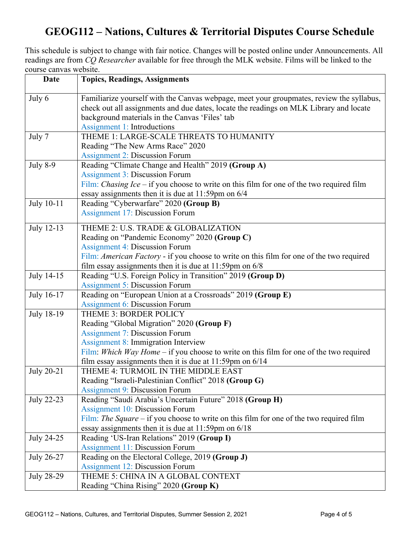# **GEOG112 – Nations, Cultures & Territorial Disputes Course Schedule**

This schedule is subject to change with fair notice. Changes will be posted online under Announcements. All readings are from *CQ Researcher* available for free through the MLK website. Films will be linked to the course canvas website.

| <b>Date</b>       | <b>Topics, Readings, Assignments</b>                                                                                                                                               |
|-------------------|------------------------------------------------------------------------------------------------------------------------------------------------------------------------------------|
| July 6            | Familiarize yourself with the Canvas webpage, meet your groupmates, review the syllabus,<br>check out all assignments and due dates, locate the readings on MLK Library and locate |
|                   | background materials in the Canvas 'Files' tab<br><b>Assignment 1: Introductions</b>                                                                                               |
| July 7            | THEME 1: LARGE-SCALE THREATS TO HUMANITY                                                                                                                                           |
|                   | Reading "The New Arms Race" 2020                                                                                                                                                   |
|                   | <b>Assignment 2: Discussion Forum</b>                                                                                                                                              |
| <b>July 8-9</b>   | Reading "Climate Change and Health" 2019 (Group A)                                                                                                                                 |
|                   | <b>Assignment 3: Discussion Forum</b>                                                                                                                                              |
|                   | Film: <i>Chasing Ice</i> – if you choose to write on this film for one of the two required film                                                                                    |
|                   | essay assignments then it is due at 11:59pm on 6/4                                                                                                                                 |
| July 10-11        | Reading "Cyberwarfare" 2020 (Group B)                                                                                                                                              |
|                   | <b>Assignment 17: Discussion Forum</b>                                                                                                                                             |
| July 12-13        | THEME 2: U.S. TRADE & GLOBALIZATION                                                                                                                                                |
|                   | Reading on "Pandemic Economy" 2020 (Group C)                                                                                                                                       |
|                   | <b>Assignment 4: Discussion Forum</b>                                                                                                                                              |
|                   | Film: American Factory - if you choose to write on this film for one of the two required                                                                                           |
|                   | film essay assignments then it is due at $11:59$ pm on $6/8$                                                                                                                       |
| July 14-15        | Reading "U.S. Foreign Policy in Transition" 2019 (Group D)                                                                                                                         |
|                   | <b>Assignment 5: Discussion Forum</b>                                                                                                                                              |
| July 16-17        | Reading on "European Union at a Crossroads" 2019 (Group E)                                                                                                                         |
|                   | <b>Assignment 6: Discussion Forum</b>                                                                                                                                              |
| July 18-19        | THEME 3: BORDER POLICY                                                                                                                                                             |
|                   | Reading "Global Migration" 2020 (Group F)                                                                                                                                          |
|                   | <b>Assignment 7: Discussion Forum</b>                                                                                                                                              |
|                   | <b>Assignment 8: Immigration Interview</b>                                                                                                                                         |
|                   | Film: Which Way Home – if you choose to write on this film for one of the two required                                                                                             |
|                   | film essay assignments then it is due at $11:59$ pm on $6/14$                                                                                                                      |
| <b>July 20-21</b> | THEME 4: TURMOIL IN THE MIDDLE EAST                                                                                                                                                |
|                   | Reading "Israeli-Palestinian Conflict" 2018 (Group G)<br><b>Assignment 9: Discussion Forum</b>                                                                                     |
| July 22-23        | Reading "Saudi Arabia's Uncertain Future" 2018 (Group H)                                                                                                                           |
|                   | <b>Assignment 10: Discussion Forum</b>                                                                                                                                             |
|                   | Film: The Square – if you choose to write on this film for one of the two required film                                                                                            |
|                   | essay assignments then it is due at $11:59$ pm on $6/18$                                                                                                                           |
| July 24-25        | Reading 'US-Iran Relations" 2019 (Group I)                                                                                                                                         |
|                   | <b>Assignment 11: Discussion Forum</b>                                                                                                                                             |
| July 26-27        | Reading on the Electoral College, 2019 (Group J)                                                                                                                                   |
|                   | <b>Assignment 12: Discussion Forum</b>                                                                                                                                             |
| July 28-29        | THEME 5: CHINA IN A GLOBAL CONTEXT                                                                                                                                                 |
|                   | Reading "China Rising" 2020 (Group K)                                                                                                                                              |